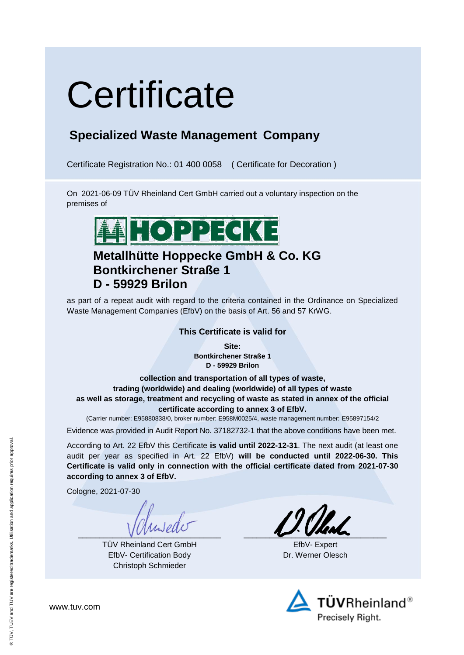# **Certificate**

### **Specialized Waste Management Company**

Certificate Registration No.: 01 400 0058 ( Certificate for Decoration )

On 2021-06-09 TÜV Rheinland Cert GmbH carried out a voluntary inspection on the premises of



### **Metallhütte Hoppecke GmbH & Co. KG Bontkirchener Straße 1 D - 59929 Brilon**

as part of a repeat audit with regard to the criteria contained in the Ordinance on Specialized Waste Management Companies (EfbV) on the basis of Art. 56 and 57 KrWG.

#### **This Certificate is valid for**

**Site: Bontkirchener Straße 1 D - 59929 Brilon**

**collection and transportation of all types of waste, trading (worldwide) and dealing (worldwide) of all types of waste as well as storage, treatment and recycling of waste as stated in annex of the official certificate according to annex 3 of EfbV.**

(Carrier number: E95880838/0, broker number: E958M0025/4, waste management number: E95897154/2

Evidence was provided in Audit Report No. 37182732-1 that the above conditions have been met.

According to Art. 22 EfbV this Certificate **is valid until 2022-12-31**. The next audit (at least one audit per year as specified in Art. 22 EfbV) **will be conducted until 2022-06-30. This Certificate is valid only in connection with the official certificate dated from 2021-07-30 according to annex 3 of EfbV.**

Cologne, 2021-07-30

 $V$ 

TÜV Rheinland Cert GmbH EfbV- Certification Body Christoph Schmieder

 $\frac{1}{2}$ 

EfbV- Expert Dr. Werner Olesch



www.tuv.com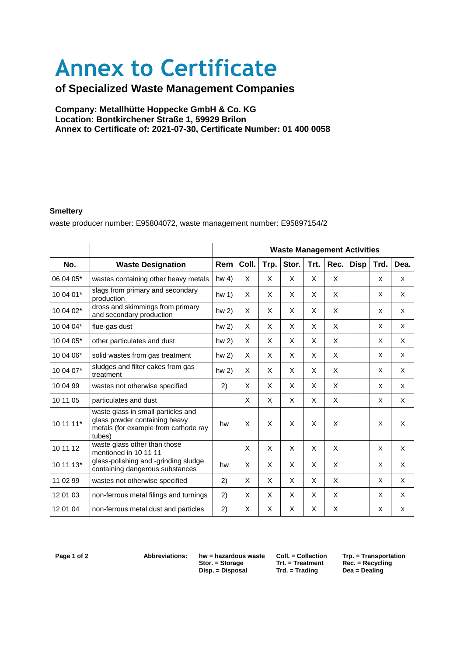# **Annex to Certificate**

### **of Specialized Waste Management Companies**

**Company: Metallhütte Hoppecke GmbH & Co. KG Location: Bontkirchener Straße 1, 59929 Brilon Annex to Certificate of: 2021-07-30, Certificate Number: 01 400 0058**

#### 27.05.2009 **Smeltery**

waste producer number: E95804072, waste management number: E95897154/2

|           |                                                                                                                       |                 | <b>Waste Management Activities</b> |      |       |      |      |             |      |      |
|-----------|-----------------------------------------------------------------------------------------------------------------------|-----------------|------------------------------------|------|-------|------|------|-------------|------|------|
| No.       | <b>Waste Designation</b>                                                                                              | Rem             | Coll.                              | Trp. | Stor. | Trt. | Rec. | <b>Disp</b> | Trd. | Dea. |
| 06 04 05* | wastes containing other heavy metals                                                                                  | hw <sub>4</sub> | X                                  | X    | X     | X    | X    |             | X    | X    |
| 10 04 01* | slags from primary and secondary<br>production                                                                        | hw <sub>1</sub> | X                                  | X    | X     | X    | X    |             | X    | X    |
| 10 04 02* | dross and skimmings from primary<br>and secondary production                                                          | hw <sub>2</sub> | X                                  | X    | X     | X    | X    |             | X    | X    |
| 10 04 04* | flue-gas dust                                                                                                         | $hw2$ )         | X                                  | X    | X     | X    | X    |             | X    | X    |
| 10 04 05* | other particulates and dust                                                                                           | $hw2$ )         | X                                  | X    | X     | X    | X    |             | X    | X    |
| 10 04 06* | solid wastes from gas treatment                                                                                       | $hw2$ )         | X                                  | X    | X     | X    | X    |             | X    | X    |
| 10 04 07* | sludges and filter cakes from gas<br>treatment                                                                        | $hw2$ )         | X                                  | X    | X     | X    | X    |             | X    | X    |
| 10 04 99  | wastes not otherwise specified                                                                                        | 2)              | X                                  | X    | X     | X    | X    |             | X    | X    |
| 10 11 05  | particulates and dust                                                                                                 |                 | X                                  | X    | X     | X    | X    |             | X    | X    |
| 10 11 11* | waste glass in small particles and<br>glass powder containing heavy<br>metals (for example from cathode ray<br>tubes) | hw              | X                                  | X    | X     | X    | X    |             | X    | X    |
| 10 11 12  | waste glass other than those<br>mentioned in 10 11 11                                                                 |                 | X                                  | X    | X     | X    | X    |             | X    | X    |
| 10 11 13* | glass-polishing and -grinding sludge<br>containing dangerous substances                                               | hw              | X                                  | X    | X     | X    | X    |             | X    | X    |
| 11 02 99  | wastes not otherwise specified                                                                                        | 2)              | X                                  | X    | X     | X    | X    |             | X    | X    |
| 12 01 03  | non-ferrous metal filings and turnings                                                                                | 2)              | X                                  | X    | X     | X    | X    |             | X    | X    |
| 12 01 04  | non-ferrous metal dust and particles                                                                                  | 2)              | X                                  | X    | X     | X    | X    |             | X    | X    |

 $Disp. = Disposal$ 

**Start. = Treatment Rec. = Recycling**<br> **Start. = Trading Dea = Dealing** 

**Page 1 of 2 Abbreviations: hw = hazardous waste Coll. = Collection Trp. = Transportation**